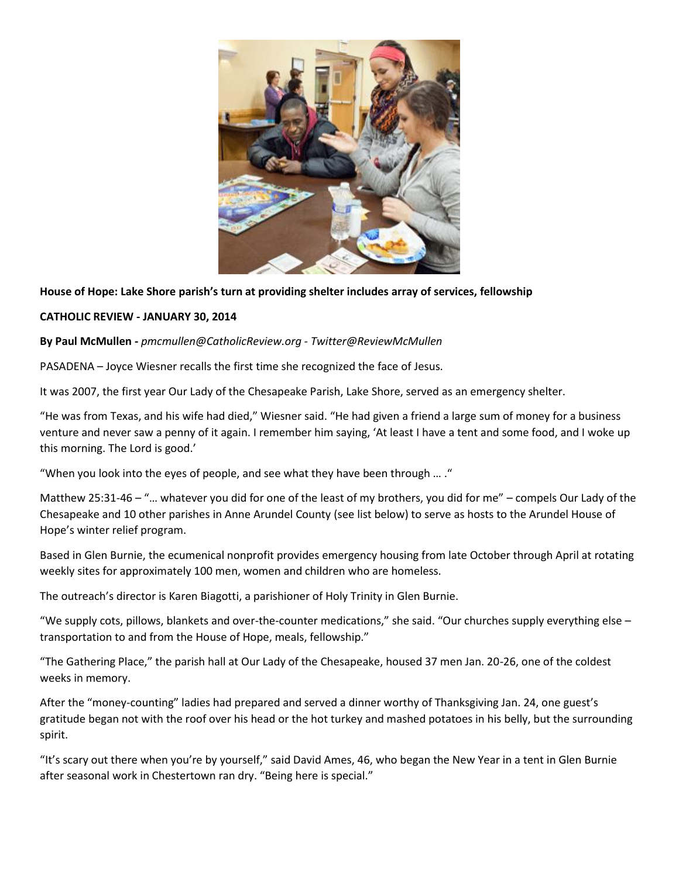

# **House of Hope: Lake Shore parish's turn at providing shelter includes array of services, fellowship**

## **CATHOLIC REVIEW - JANUARY 30, 2014**

## **By Paul McMullen -** *pmcmullen@CatholicReview.org - Twitter@ReviewMcMullen*

PASADENA – Joyce Wiesner recalls the first time she recognized the face of Jesus.

It was 2007, the first year Our Lady of the Chesapeake Parish, Lake Shore, served as an emergency shelter.

"He was from Texas, and his wife had died," Wiesner said. "He had given a friend a large sum of money for a business venture and never saw a penny of it again. I remember him saying, 'At least I have a tent and some food, and I woke up this morning. The Lord is good.'

"When you look into the eyes of people, and see what they have been through … ."

Matthew 25:31-46 – "… whatever you did for one of the least of my brothers, you did for me" – compels Our Lady of the Chesapeake and 10 other parishes in Anne Arundel County (see list below) to serve as hosts to the Arundel House of Hope's winter relief program.

Based in Glen Burnie, the ecumenical nonprofit provides emergency housing from late October through April at rotating weekly sites for approximately 100 men, women and children who are homeless.

The outreach's director is Karen Biagotti, a parishioner of Holy Trinity in Glen Burnie.

"We supply cots, pillows, blankets and over-the-counter medications," she said. "Our churches supply everything else – transportation to and from the House of Hope, meals, fellowship."

"The Gathering Place," the parish hall at Our Lady of the Chesapeake, housed 37 men Jan. 20-26, one of the coldest weeks in memory.

After the "money-counting" ladies had prepared and served a dinner worthy of Thanksgiving Jan. 24, one guest's gratitude began not with the roof over his head or the hot turkey and mashed potatoes in his belly, but the surrounding spirit.

"It's scary out there when you're by yourself," said David Ames, 46, who began the New Year in a tent in Glen Burnie after seasonal work in Chestertown ran dry. "Being here is special."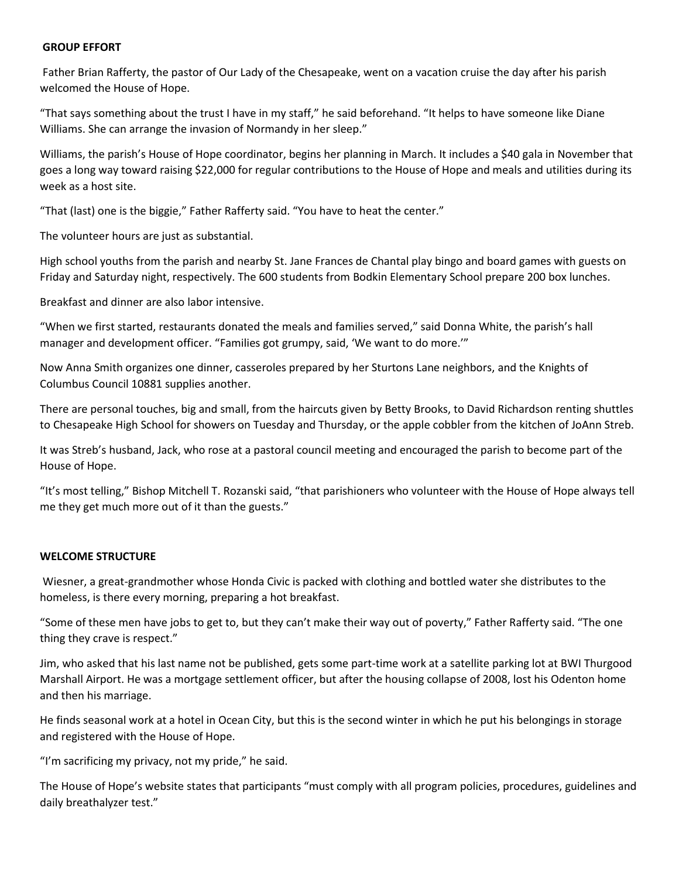### **GROUP EFFORT**

Father Brian Rafferty, the pastor of Our Lady of the Chesapeake, went on a vacation cruise the day after his parish welcomed the House of Hope.

"That says something about the trust I have in my staff," he said beforehand. "It helps to have someone like Diane Williams. She can arrange the invasion of Normandy in her sleep."

Williams, the parish's House of Hope coordinator, begins her planning in March. It includes a \$40 gala in November that goes a long way toward raising \$22,000 for regular contributions to the House of Hope and meals and utilities during its week as a host site.

"That (last) one is the biggie," Father Rafferty said. "You have to heat the center."

The volunteer hours are just as substantial.

High school youths from the parish and nearby St. Jane Frances de Chantal play bingo and board games with guests on Friday and Saturday night, respectively. The 600 students from Bodkin Elementary School prepare 200 box lunches.

Breakfast and dinner are also labor intensive.

"When we first started, restaurants donated the meals and families served," said Donna White, the parish's hall manager and development officer. "Families got grumpy, said, 'We want to do more.'"

Now Anna Smith organizes one dinner, casseroles prepared by her Sturtons Lane neighbors, and the Knights of Columbus Council 10881 supplies another.

There are personal touches, big and small, from the haircuts given by Betty Brooks, to David Richardson renting shuttles to Chesapeake High School for showers on Tuesday and Thursday, or the apple cobbler from the kitchen of JoAnn Streb.

It was Streb's husband, Jack, who rose at a pastoral council meeting and encouraged the parish to become part of the House of Hope.

"It's most telling," Bishop Mitchell T. Rozanski said, "that parishioners who volunteer with the House of Hope always tell me they get much more out of it than the guests."

## **WELCOME STRUCTURE**

Wiesner, a great-grandmother whose Honda Civic is packed with clothing and bottled water she distributes to the homeless, is there every morning, preparing a hot breakfast.

"Some of these men have jobs to get to, but they can't make their way out of poverty," Father Rafferty said. "The one thing they crave is respect."

Jim, who asked that his last name not be published, gets some part-time work at a satellite parking lot at BWI Thurgood Marshall Airport. He was a mortgage settlement officer, but after the housing collapse of 2008, lost his Odenton home and then his marriage.

He finds seasonal work at a hotel in Ocean City, but this is the second winter in which he put his belongings in storage and registered with the House of Hope.

"I'm sacrificing my privacy, not my pride," he said.

The House of Hope's website states that participants "must comply with all program policies, procedures, guidelines and daily breathalyzer test."